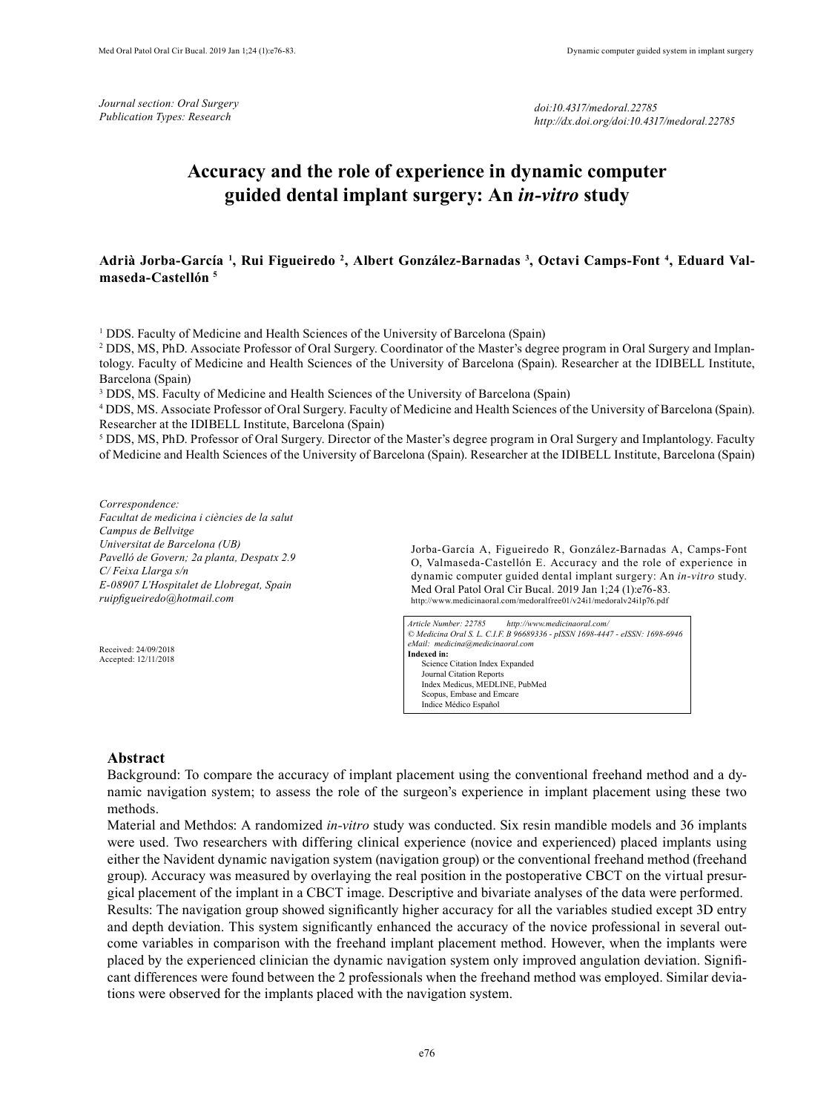*Journal section: Oral Surgery Publication Types: Research*

# **Accuracy and the role of experience in dynamic computer guided dental implant surgery: An** *in-vitro* **study**

Adrià Jorba-García <sup>1</sup>, Rui Figueiredo <sup>2</sup>, Albert González-Barnadas <sup>3</sup>, Octavi Camps-Font <sup>4</sup>, Eduard Val**maseda-Castellón 5**

<sup>1</sup> DDS. Faculty of Medicine and Health Sciences of the University of Barcelona (Spain)

2 DDS, MS, PhD. Associate Professor of Oral Surgery. Coordinator of the Master's degree program in Oral Surgery and Implantology. Faculty of Medicine and Health Sciences of the University of Barcelona (Spain). Researcher at the IDIBELL Institute, Barcelona (Spain)

<sup>3</sup> DDS, MS. Faculty of Medicine and Health Sciences of the University of Barcelona (Spain)

4 DDS, MS. Associate Professor of Oral Surgery. Faculty of Medicine and Health Sciences of the University of Barcelona (Spain). Researcher at the IDIBELL Institute, Barcelona (Spain)

5 DDS, MS, PhD. Professor of Oral Surgery. Director of the Master's degree program in Oral Surgery and Implantology. Faculty of Medicine and Health Sciences of the University of Barcelona (Spain). Researcher at the IDIBELL Institute, Barcelona (Spain)

*Correspondence: Facultat de medicina i ciències de la salut Campus de Bellvitge Universitat de Barcelona (UB) Pavelló de Govern; 2a planta, Despatx 2.9 C/ Feixa Llarga s/n E-08907 L'Hospitalet de Llobregat, Spain ruipfigueiredo@hotmail.com*

Received: 24/09/2018 Accepted: 12/11/2018 Jorba-García A, Figueiredo R, González-Barnadas A, Camps-Font O, Valmaseda-Castellón E. Accuracy and the role of experience in dynamic computer guided dental implant surgery: An *in-vitro* study. Med Oral Patol Oral Cir Bucal. 2019 Jan 1;24 (1):e76-83. http://www.medicinaoral.com/medoralfree01/v24i1/medoralv24i1p76.pdf

*Article Number: 22785 http://www.medicinaoral.com/ © Medicina Oral S. L. C.I.F. B 96689336 - pISSN 1698-4447 - eISSN: 1698-6946 eMail: medicina@medicinaoral.com*  **Indexed in:**  Science Citation Index Expanded Journal Citation Reports Index Medicus, MEDLINE, PubMed Scopus, Embase and Emcare Indice Médico Español

### **Abstract**

Background: To compare the accuracy of implant placement using the conventional freehand method and a dynamic navigation system; to assess the role of the surgeon's experience in implant placement using these two methods.

Material and Methdos: A randomized *in-vitro* study was conducted. Six resin mandible models and 36 implants were used. Two researchers with differing clinical experience (novice and experienced) placed implants using either the Navident dynamic navigation system (navigation group) or the conventional freehand method (freehand group). Accuracy was measured by overlaying the real position in the postoperative CBCT on the virtual presurgical placement of the implant in a CBCT image. Descriptive and bivariate analyses of the data were performed. Results: The navigation group showed significantly higher accuracy for all the variables studied except 3D entry and depth deviation. This system significantly enhanced the accuracy of the novice professional in several outcome variables in comparison with the freehand implant placement method. However, when the implants were placed by the experienced clinician the dynamic navigation system only improved angulation deviation. Significant differences were found between the 2 professionals when the freehand method was employed. Similar deviations were observed for the implants placed with the navigation system.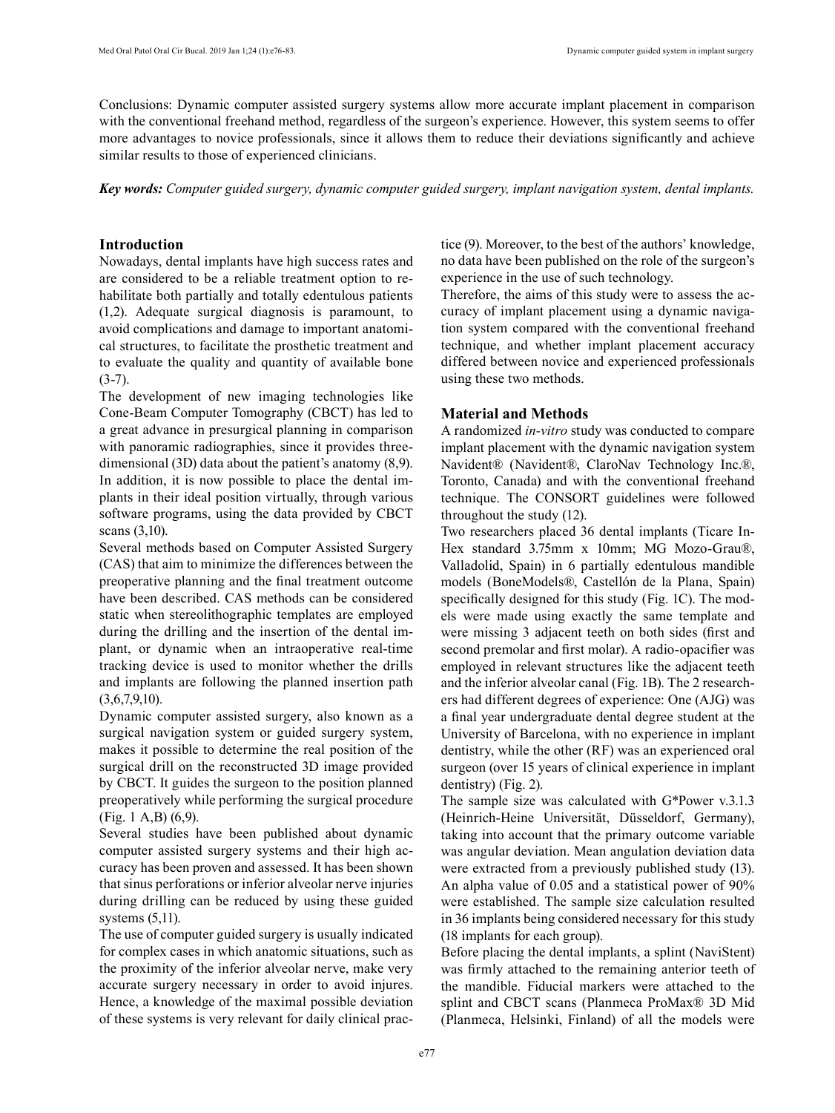Conclusions: Dynamic computer assisted surgery systems allow more accurate implant placement in comparison with the conventional freehand method, regardless of the surgeon's experience. However, this system seems to offer more advantages to novice professionals, since it allows them to reduce their deviations significantly and achieve similar results to those of experienced clinicians.

*Key words: Computer guided surgery, dynamic computer guided surgery, implant navigation system, dental implants.* 

## **Introduction**

Nowadays, dental implants have high success rates and are considered to be a reliable treatment option to rehabilitate both partially and totally edentulous patients (1,2). Adequate surgical diagnosis is paramount, to avoid complications and damage to important anatomical structures, to facilitate the prosthetic treatment and to evaluate the quality and quantity of available bone  $(3-7)$ .

The development of new imaging technologies like Cone-Beam Computer Tomography (CBCT) has led to a great advance in presurgical planning in comparison with panoramic radiographies, since it provides threedimensional (3D) data about the patient's anatomy (8,9). In addition, it is now possible to place the dental implants in their ideal position virtually, through various software programs, using the data provided by CBCT scans (3,10).

Several methods based on Computer Assisted Surgery (CAS) that aim to minimize the differences between the preoperative planning and the final treatment outcome have been described. CAS methods can be considered static when stereolithographic templates are employed during the drilling and the insertion of the dental implant, or dynamic when an intraoperative real-time tracking device is used to monitor whether the drills and implants are following the planned insertion path  $(3,6,7,9,10)$ .

Dynamic computer assisted surgery, also known as a surgical navigation system or guided surgery system, makes it possible to determine the real position of the surgical drill on the reconstructed 3D image provided by CBCT. It guides the surgeon to the position planned preoperatively while performing the surgical procedure (Fig. 1 A,B) (6,9).

Several studies have been published about dynamic computer assisted surgery systems and their high accuracy has been proven and assessed. It has been shown that sinus perforations or inferior alveolar nerve injuries during drilling can be reduced by using these guided systems (5,11).

The use of computer guided surgery is usually indicated for complex cases in which anatomic situations, such as the proximity of the inferior alveolar nerve, make very accurate surgery necessary in order to avoid injures. Hence, a knowledge of the maximal possible deviation of these systems is very relevant for daily clinical practice (9). Moreover, to the best of the authors' knowledge, no data have been published on the role of the surgeon's experience in the use of such technology.

Therefore, the aims of this study were to assess the accuracy of implant placement using a dynamic navigation system compared with the conventional freehand technique, and whether implant placement accuracy differed between novice and experienced professionals using these two methods.

# **Material and Methods**

A randomized *in-vitro* study was conducted to compare implant placement with the dynamic navigation system Navident® (Navident®, ClaroNav Technology Inc.®, Toronto, Canada) and with the conventional freehand technique. The CONSORT guidelines were followed throughout the study (12).

Two researchers placed 36 dental implants (Ticare In-Hex standard 3.75mm x 10mm; MG Mozo-Grau®, Valladolid, Spain) in 6 partially edentulous mandible models (BoneModels®, Castellón de la Plana, Spain) specifically designed for this study (Fig. 1C). The models were made using exactly the same template and were missing 3 adjacent teeth on both sides (first and second premolar and first molar). A radio-opacifier was employed in relevant structures like the adjacent teeth and the inferior alveolar canal (Fig. 1B). The 2 researchers had different degrees of experience: One (AJG) was a final year undergraduate dental degree student at the University of Barcelona, with no experience in implant dentistry, while the other (RF) was an experienced oral surgeon (over 15 years of clinical experience in implant dentistry) (Fig. 2).

The sample size was calculated with G\*Power v.3.1.3 (Heinrich-Heine Universität, Düsseldorf, Germany), taking into account that the primary outcome variable was angular deviation. Mean angulation deviation data were extracted from a previously published study (13). An alpha value of 0.05 and a statistical power of 90% were established. The sample size calculation resulted in 36 implants being considered necessary for this study (18 implants for each group).

Before placing the dental implants, a splint (NaviStent) was firmly attached to the remaining anterior teeth of the mandible. Fiducial markers were attached to the splint and CBCT scans (Planmeca ProMax® 3D Mid (Planmeca, Helsinki, Finland) of all the models were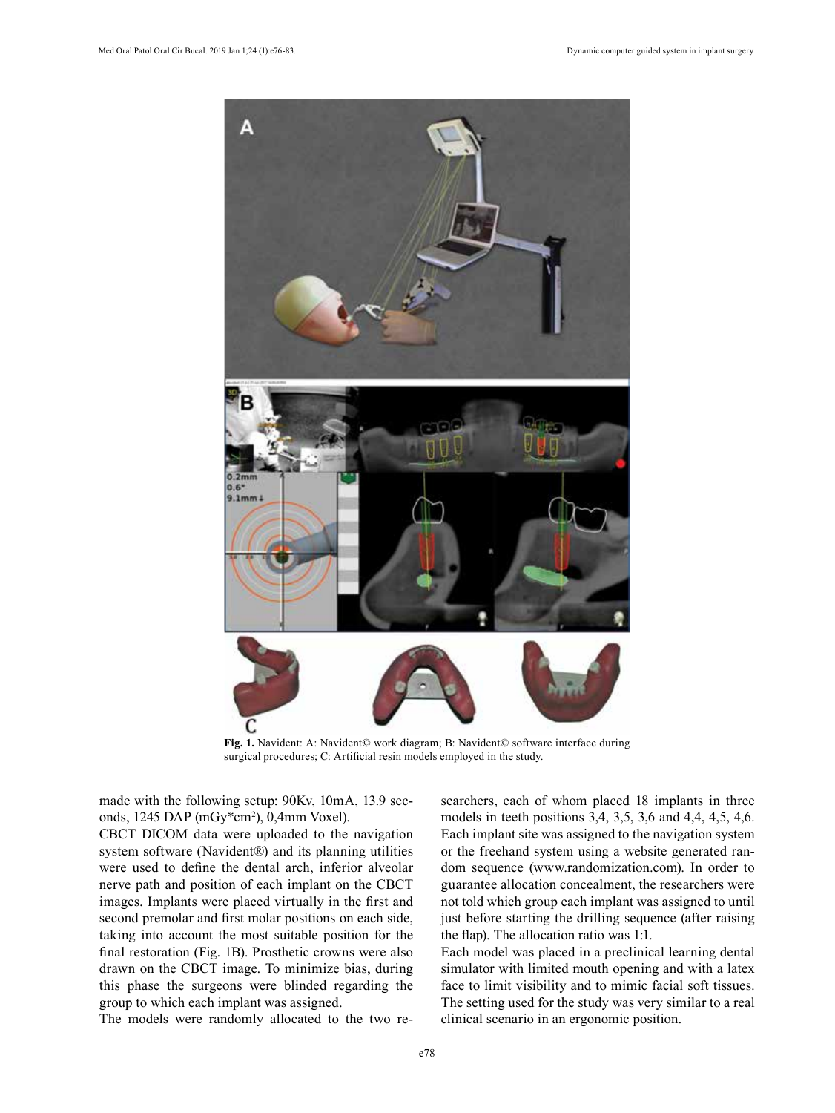

**Fig. 1.** Navident: A: Navident© work diagram; B: Navident© software interface during surgical procedures; C: Artificial resin models employed in the study.

made with the following setup: 90Kv, 10mA, 13.9 seconds, 1245 DAP (mGy\*cm2 ), 0,4mm Voxel).

CBCT DICOM data were uploaded to the navigation system software (Navident®) and its planning utilities were used to define the dental arch, inferior alveolar nerve path and position of each implant on the CBCT images. Implants were placed virtually in the first and second premolar and first molar positions on each side, taking into account the most suitable position for the final restoration (Fig. 1B). Prosthetic crowns were also drawn on the CBCT image. To minimize bias, during this phase the surgeons were blinded regarding the group to which each implant was assigned.

The models were randomly allocated to the two re-

searchers, each of whom placed 18 implants in three models in teeth positions 3,4, 3,5, 3,6 and 4,4, 4,5, 4,6. Each implant site was assigned to the navigation system or the freehand system using a website generated random sequence (www.randomization.com). In order to guarantee allocation concealment, the researchers were not told which group each implant was assigned to until just before starting the drilling sequence (after raising the flap). The allocation ratio was 1:1.

Each model was placed in a preclinical learning dental simulator with limited mouth opening and with a latex face to limit visibility and to mimic facial soft tissues. The setting used for the study was very similar to a real clinical scenario in an ergonomic position.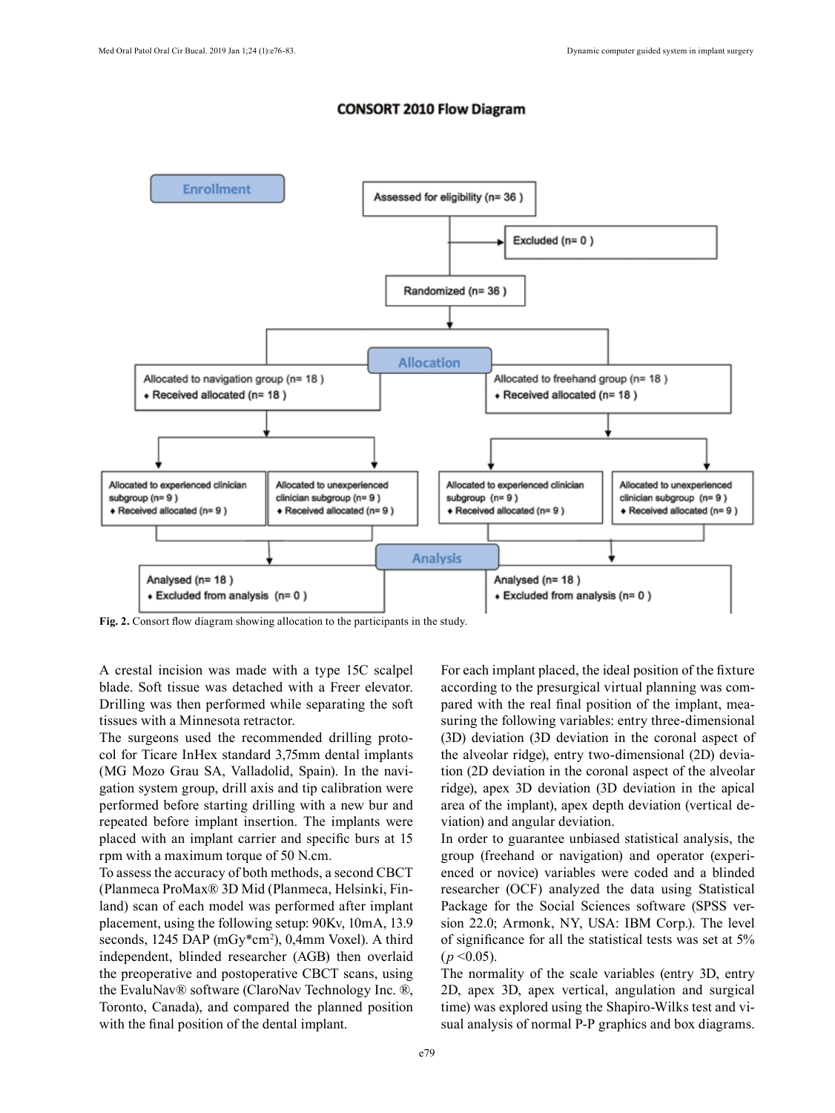### **CONSORT 2010 Flow Diagram**



**Fig. 2.** Consort flow diagram showing allocation to the participants in the study.

A crestal incision was made with a type 15C scalpel blade. Soft tissue was detached with a Freer elevator. Drilling was then performed while separating the soft tissues with a Minnesota retractor.

The surgeons used the recommended drilling protocol for Ticare InHex standard 3,75mm dental implants (MG Mozo Grau SA, Valladolid, Spain). In the navigation system group, drill axis and tip calibration were performed before starting drilling with a new bur and repeated before implant insertion. The implants were placed with an implant carrier and specific burs at 15 rpm with a maximum torque of 50 N.cm.

To assess the accuracy of both methods, a second CBCT (Planmeca ProMax® 3D Mid (Planmeca, Helsinki, Finland) scan of each model was performed after implant placement, using the following setup: 90Kv, 10mA, 13.9 seconds, 1245 DAP (mGy\*cm<sup>2</sup>), 0,4mm Voxel). A third independent, blinded researcher (AGB) then overlaid the preoperative and postoperative CBCT scans, using the EvaluNav® software (ClaroNav Technology Inc. ®, Toronto, Canada), and compared the planned position with the final position of the dental implant.

For each implant placed, the ideal position of the fixture according to the presurgical virtual planning was compared with the real final position of the implant, measuring the following variables: entry three-dimensional (3D) deviation (3D deviation in the coronal aspect of the alveolar ridge), entry two-dimensional (2D) deviation (2D deviation in the coronal aspect of the alveolar ridge), apex 3D deviation (3D deviation in the apical area of the implant), apex depth deviation (vertical deviation) and angular deviation.

In order to guarantee unbiased statistical analysis, the group (freehand or navigation) and operator (experienced or novice) variables were coded and a blinded researcher (OCF) analyzed the data using Statistical Package for the Social Sciences software (SPSS version 22.0; Armonk, NY, USA: IBM Corp.). The level of significance for all the statistical tests was set at 5%  $(p \le 0.05)$ .

The normality of the scale variables (entry 3D, entry 2D, apex 3D, apex vertical, angulation and surgical time) was explored using the Shapiro-Wilks test and visual analysis of normal P-P graphics and box diagrams.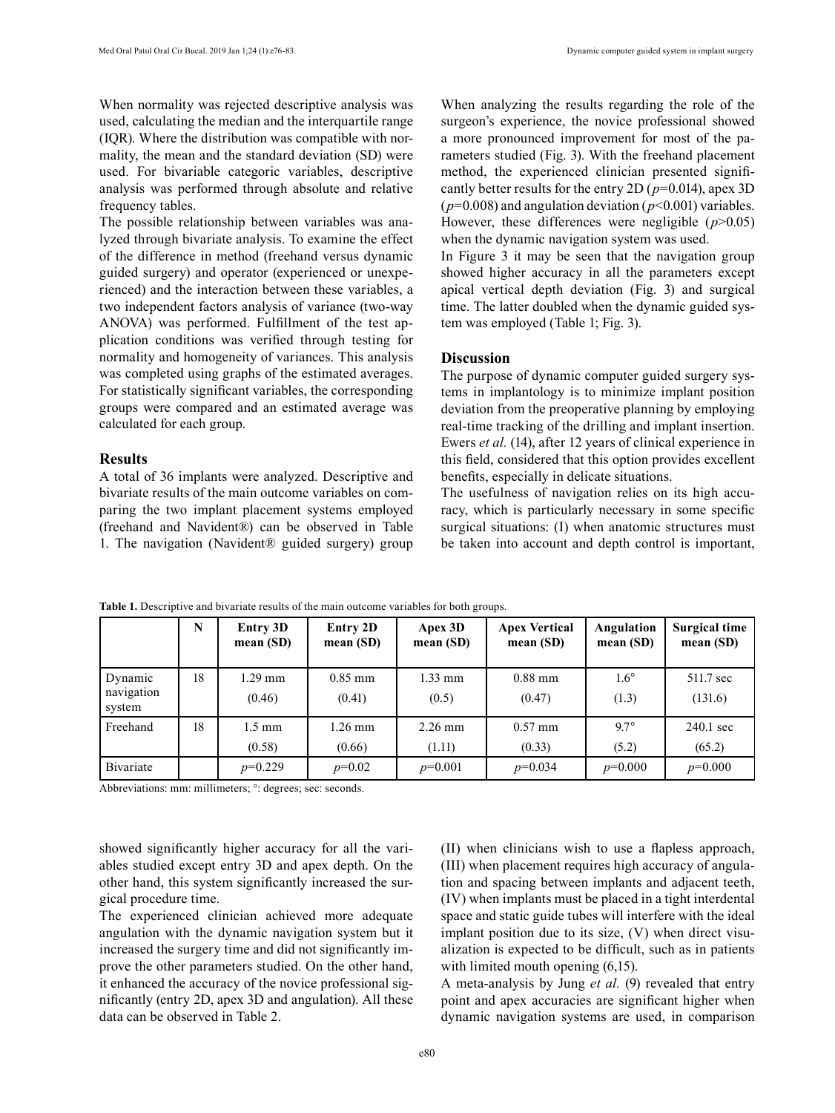When normality was rejected descriptive analysis was used, calculating the median and the interquartile range (IQR). Where the distribution was compatible with normality, the mean and the standard deviation (SD) were used. For bivariable categoric variables, descriptive analysis was performed through absolute and relative frequency tables.

The possible relationship between variables was analyzed through bivariate analysis. To examine the effect of the difference in method (freehand versus dynamic guided surgery) and operator (experienced or unexperienced) and the interaction between these variables, a two independent factors analysis of variance (two-way ANOVA) was performed. Fulfillment of the test application conditions was verified through testing for normality and homogeneity of variances. This analysis was completed using graphs of the estimated averages. For statistically significant variables, the corresponding groups were compared and an estimated average was calculated for each group.

#### **Results**

A total of 36 implants were analyzed. Descriptive and bivariate results of the main outcome variables on comparing the two implant placement systems employed (freehand and Navident®) can be observed in Table 1. The navigation (Navident® guided surgery) group When analyzing the results regarding the role of the surgeon's experience, the novice professional showed a more pronounced improvement for most of the parameters studied (Fig. 3). With the freehand placement method, the experienced clinician presented significantly better results for the entry 2D (*p*=0.014), apex 3D  $(p=0.008)$  and angulation deviation ( $p<0.001$ ) variables. However, these differences were negligible  $(p>0.05)$ when the dynamic navigation system was used.

In Figure 3 it may be seen that the navigation group showed higher accuracy in all the parameters except apical vertical depth deviation (Fig. 3) and surgical time. The latter doubled when the dynamic guided system was employed (Table 1; Fig. 3).

### **Discussion**

The purpose of dynamic computer guided surgery systems in implantology is to minimize implant position deviation from the preoperative planning by employing real-time tracking of the drilling and implant insertion. Ewers *et al.* (14), after 12 years of clinical experience in this field, considered that this option provides excellent benefits, especially in delicate situations.

The usefulness of navigation relies on its high accuracy, which is particularly necessary in some specific surgical situations: (I) when anatomic structures must be taken into account and depth control is important,

|                                 | N  | Entry 3D<br>mean $(SD)$    | Entry 2D<br>mean(SD) | Apex 3D<br>mean(SD) | <b>Apex Vertical</b><br>mean $(SD)$ | Angulation<br>mean(SD) | <b>Surgical time</b><br>mean(SD) |
|---------------------------------|----|----------------------------|----------------------|---------------------|-------------------------------------|------------------------|----------------------------------|
| Dynamic<br>navigation<br>system | 18 | 1.29 mm<br>(0.46)          | $0.85$ mm<br>(0.41)  | $1.33$ mm<br>(0.5)  | $0.88$ mm<br>(0.47)                 | $1.6^\circ$<br>(1.3)   | 511.7 sec<br>(131.6)             |
| Freehand                        | 18 | $1.5 \text{ mm}$<br>(0.58) | $1.26$ mm<br>(0.66)  | $2.26$ mm<br>(1.11) | $0.57$ mm<br>(0.33)                 | $9.7^\circ$<br>(5.2)   | 240.1 sec<br>(65.2)              |
| Bivariate                       |    | $p=0.229$                  | $p=0.02$             | $p=0.001$           | $p=0.034$                           | $p=0.000$              | $p=0.000$                        |

**Table 1.** Descriptive and bivariate results of the main outcome variables for both groups.

Abbreviations: mm: millimeters; °: degrees; sec: seconds.

showed significantly higher accuracy for all the variables studied except entry 3D and apex depth. On the other hand, this system significantly increased the surgical procedure time.

The experienced clinician achieved more adequate angulation with the dynamic navigation system but it increased the surgery time and did not significantly improve the other parameters studied. On the other hand, it enhanced the accuracy of the novice professional significantly (entry 2D, apex 3D and angulation). All these data can be observed in Table 2.

(II) when clinicians wish to use a flapless approach, (III) when placement requires high accuracy of angulation and spacing between implants and adjacent teeth, (IV) when implants must be placed in a tight interdental space and static guide tubes will interfere with the ideal implant position due to its size, (V) when direct visualization is expected to be difficult, such as in patients with limited mouth opening  $(6,15)$ .

A meta-analysis by Jung *et al.* (9) revealed that entry point and apex accuracies are significant higher when dynamic navigation systems are used, in comparison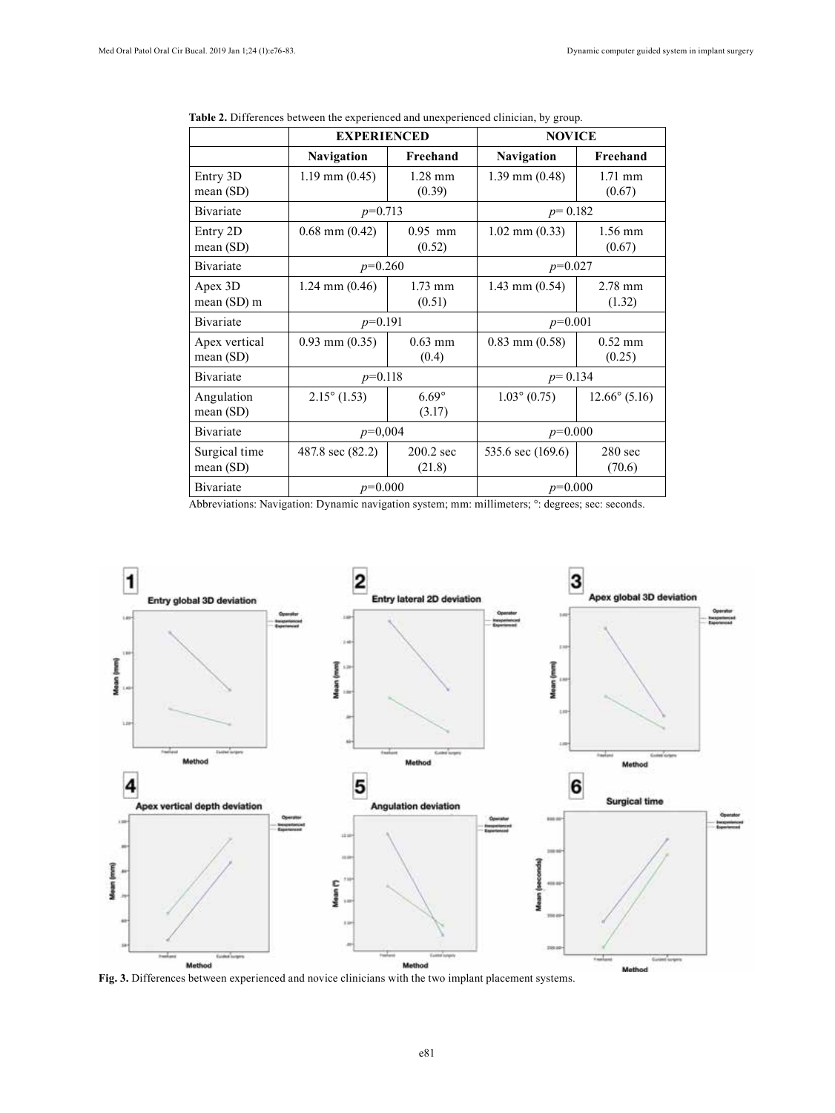|                            | <b>EXPERIENCED</b>    |                        | <b>NOVICE</b>         |                        |  |
|----------------------------|-----------------------|------------------------|-----------------------|------------------------|--|
|                            | <b>Navigation</b>     | Freehand               | <b>Navigation</b>     | Freehand               |  |
| Entry 3D<br>mean(SD)       | $1.19$ mm $(0.45)$    | $1.28$ mm<br>(0.39)    | $1.39$ mm $(0.48)$    | $1.71$ mm<br>(0.67)    |  |
| Bivariate                  | $p=0.713$             |                        | $p=0.182$             |                        |  |
| Entry 2D<br>mean $(SD)$    | $0.68$ mm $(0.42)$    | $0.95$ mm<br>(0.52)    | $1.02$ mm $(0.33)$    | $1.56$ mm<br>(0.67)    |  |
| Bivariate                  | $p=0.260$             |                        | $p=0.027$             |                        |  |
| Apex 3D<br>mean (SD) m     | $1.24$ mm $(0.46)$    | $1.73$ mm<br>(0.51)    | $1.43$ mm $(0.54)$    | $2.78$ mm<br>(1.32)    |  |
| Bivariate                  | $p=0.191$             |                        | $p=0.001$             |                        |  |
| Apex vertical<br>mean (SD) | $0.93$ mm $(0.35)$    | $0.63$ mm<br>(0.4)     | $0.83$ mm $(0.58)$    | $0.52$ mm<br>(0.25)    |  |
| Bivariate                  | $p=0.118$             |                        | $p = 0.134$           |                        |  |
| Angulation<br>mean (SD)    | $2.15^{\circ}$ (1.53) | $6.69^\circ$<br>(3.17) | $1.03^{\circ}$ (0.75) | $12.66^{\circ}$ (5.16) |  |
| Bivariate                  | $p=0,004$             |                        | $p=0.000$             |                        |  |
| Surgical time<br>mean(SD)  | 487.8 sec (82.2)      | $200.2$ sec<br>(21.8)  | 535.6 sec (169.6)     | $280$ sec<br>(70.6)    |  |
| Bivariate                  | $p=0.000$             |                        | $p=0.000$             |                        |  |

**Table 2.** Differences between the experienced and unexperienced clinician, by group.

Abbreviations: Navigation: Dynamic navigation system; mm: millimeters; °: degrees; sec: seconds.



**Fig. 3.** Differences between experienced and novice clinicians with the two implant placement systems.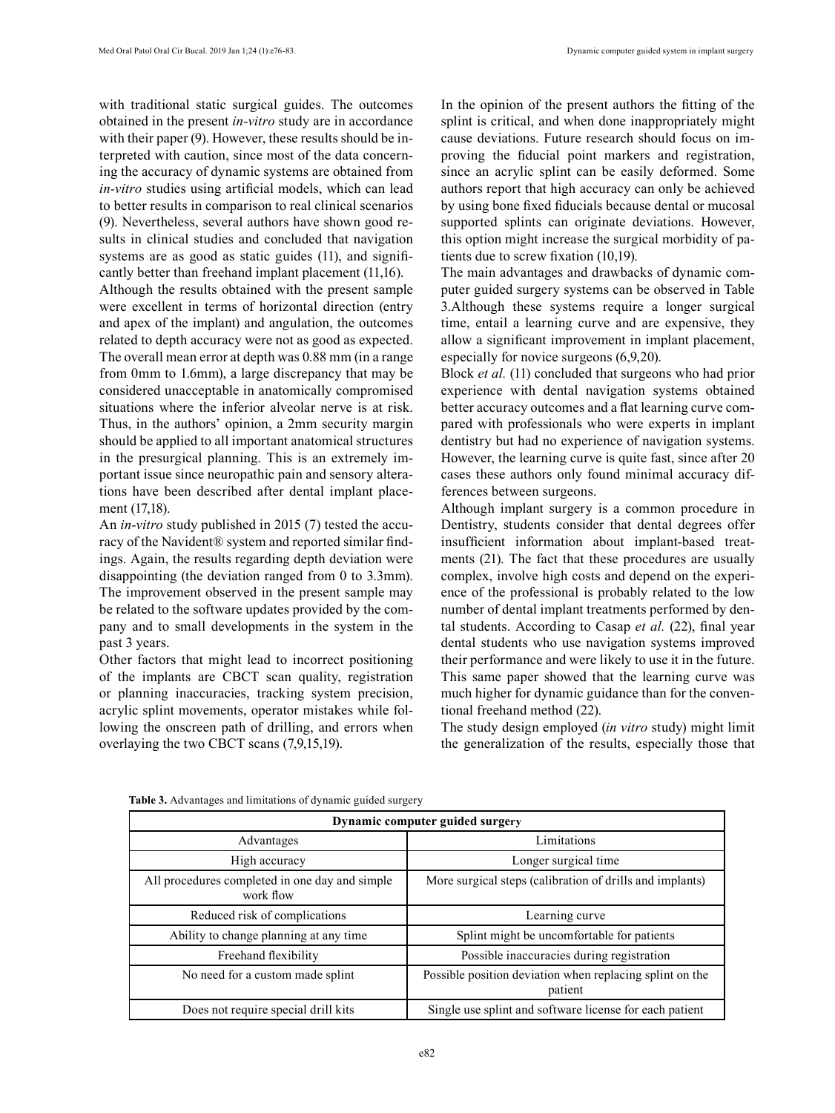with traditional static surgical guides. The outcomes obtained in the present *in-vitro* study are in accordance with their paper (9). However, these results should be interpreted with caution, since most of the data concerning the accuracy of dynamic systems are obtained from *in-vitro* studies using artificial models, which can lead to better results in comparison to real clinical scenarios (9). Nevertheless, several authors have shown good results in clinical studies and concluded that navigation systems are as good as static guides (11), and significantly better than freehand implant placement (11,16).

Although the results obtained with the present sample were excellent in terms of horizontal direction (entry and apex of the implant) and angulation, the outcomes related to depth accuracy were not as good as expected. The overall mean error at depth was 0.88 mm (in a range from 0mm to 1.6mm), a large discrepancy that may be considered unacceptable in anatomically compromised situations where the inferior alveolar nerve is at risk. Thus, in the authors' opinion, a 2mm security margin should be applied to all important anatomical structures in the presurgical planning. This is an extremely important issue since neuropathic pain and sensory alterations have been described after dental implant placement (17,18).

An *in-vitro* study published in 2015 (7) tested the accuracy of the Navident® system and reported similar findings. Again, the results regarding depth deviation were disappointing (the deviation ranged from 0 to 3.3mm). The improvement observed in the present sample may be related to the software updates provided by the company and to small developments in the system in the past 3 years.

Other factors that might lead to incorrect positioning of the implants are CBCT scan quality, registration or planning inaccuracies, tracking system precision, acrylic splint movements, operator mistakes while following the onscreen path of drilling, and errors when overlaying the two CBCT scans (7,9,15,19).

In the opinion of the present authors the fitting of the splint is critical, and when done inappropriately might cause deviations. Future research should focus on improving the fiducial point markers and registration, since an acrylic splint can be easily deformed. Some authors report that high accuracy can only be achieved by using bone fixed fiducials because dental or mucosal supported splints can originate deviations. However, this option might increase the surgical morbidity of patients due to screw fixation (10,19).

The main advantages and drawbacks of dynamic computer guided surgery systems can be observed in Table 3.Although these systems require a longer surgical time, entail a learning curve and are expensive, they allow a significant improvement in implant placement, especially for novice surgeons (6,9,20).

Block *et al.* (11) concluded that surgeons who had prior experience with dental navigation systems obtained better accuracy outcomes and a flat learning curve compared with professionals who were experts in implant dentistry but had no experience of navigation systems. However, the learning curve is quite fast, since after 20 cases these authors only found minimal accuracy differences between surgeons.

Although implant surgery is a common procedure in Dentistry, students consider that dental degrees offer insufficient information about implant-based treatments (21). The fact that these procedures are usually complex, involve high costs and depend on the experience of the professional is probably related to the low number of dental implant treatments performed by dental students. According to Casap *et al.* (22), final year dental students who use navigation systems improved their performance and were likely to use it in the future. This same paper showed that the learning curve was much higher for dynamic guidance than for the conventional freehand method (22).

The study design employed (*in vitro* study) might limit the generalization of the results, especially those that

| Dynamic computer guided surgery                             |                                                                     |  |  |  |
|-------------------------------------------------------------|---------------------------------------------------------------------|--|--|--|
| Advantages                                                  | Limitations                                                         |  |  |  |
| High accuracy                                               | Longer surgical time                                                |  |  |  |
| All procedures completed in one day and simple<br>work flow | More surgical steps (calibration of drills and implants)            |  |  |  |
| Reduced risk of complications                               | Learning curve                                                      |  |  |  |
| Ability to change planning at any time                      | Splint might be uncomfortable for patients                          |  |  |  |
| Freehand flexibility                                        | Possible inaccuracies during registration                           |  |  |  |
| No need for a custom made splint                            | Possible position deviation when replacing splint on the<br>patient |  |  |  |
| Does not require special drill kits                         | Single use splint and software license for each patient             |  |  |  |

**Table 3.** Advantages and limitations of dynamic guided surgery